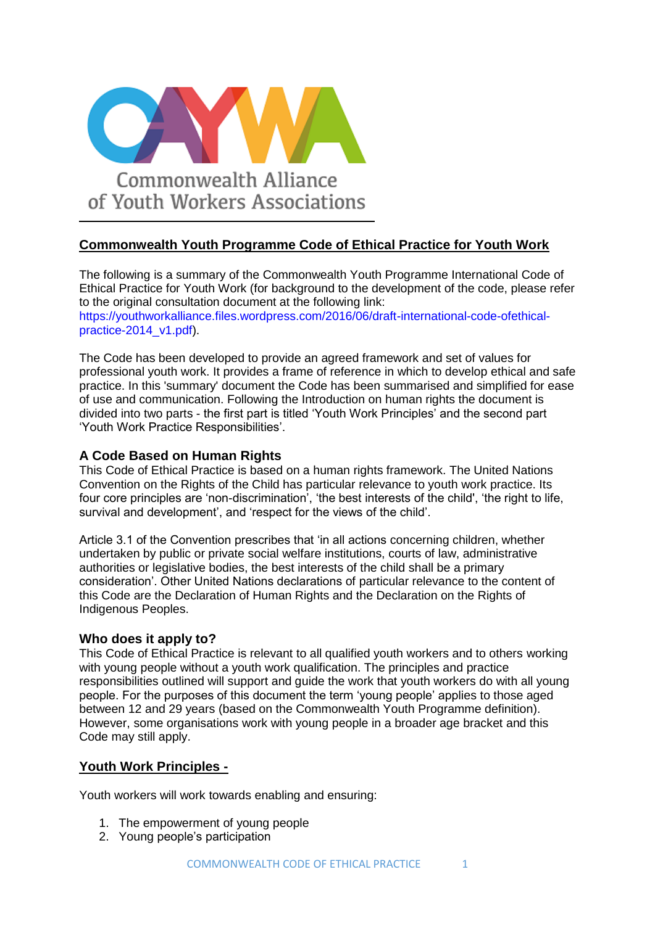

# **Commonwealth Youth Programme Code of Ethical Practice for Youth Work**

The following is a summary of the Commonwealth Youth Programme International Code of Ethical Practice for Youth Work (for background to the development of the code, please refer to the original consultation document at the following link:

https://youthworkalliance.files.wordpress.com/2016/06/draft-international-code-ofethicalpractice-2014\_v1.pdf).

The Code has been developed to provide an agreed framework and set of values for professional youth work. It provides a frame of reference in which to develop ethical and safe practice. In this 'summary' document the Code has been summarised and simplified for ease of use and communication. Following the Introduction on human rights the document is divided into two parts - the first part is titled 'Youth Work Principles' and the second part 'Youth Work Practice Responsibilities'.

# **A Code Based on Human Rights**

This Code of Ethical Practice is based on a human rights framework. The United Nations Convention on the Rights of the Child has particular relevance to youth work practice. Its four core principles are 'non-discrimination', 'the best interests of the child', 'the right to life, survival and development', and 'respect for the views of the child'.

Article 3.1 of the Convention prescribes that 'in all actions concerning children, whether undertaken by public or private social welfare institutions, courts of law, administrative authorities or legislative bodies, the best interests of the child shall be a primary consideration'. Other United Nations declarations of particular relevance to the content of this Code are the Declaration of Human Rights and the Declaration on the Rights of Indigenous Peoples.

# **Who does it apply to?**

This Code of Ethical Practice is relevant to all qualified youth workers and to others working with young people without a youth work qualification. The principles and practice responsibilities outlined will support and guide the work that youth workers do with all young people. For the purposes of this document the term 'young people' applies to those aged between 12 and 29 years (based on the Commonwealth Youth Programme definition). However, some organisations work with young people in a broader age bracket and this Code may still apply.

# **Youth Work Principles -**

Youth workers will work towards enabling and ensuring:

- 1. The empowerment of young people
- 2. Young people's participation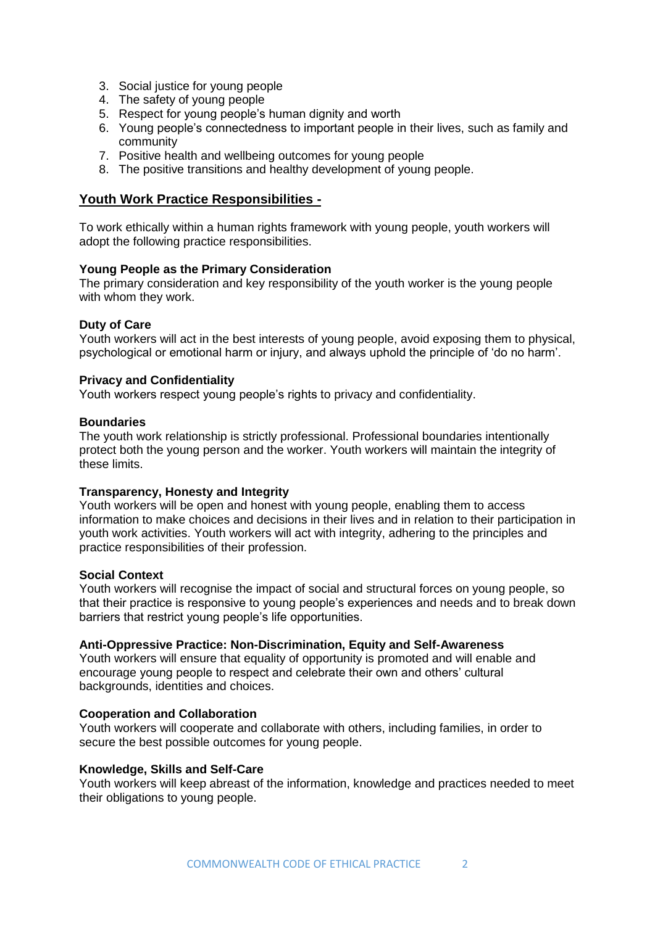- 3. Social justice for young people
- 4. The safety of young people
- 5. Respect for young people's human dignity and worth
- 6. Young people's connectedness to important people in their lives, such as family and community
- 7. Positive health and wellbeing outcomes for young people
- 8. The positive transitions and healthy development of young people.

# **Youth Work Practice Responsibilities -**

To work ethically within a human rights framework with young people, youth workers will adopt the following practice responsibilities.

## **Young People as the Primary Consideration**

The primary consideration and key responsibility of the youth worker is the young people with whom they work.

## **Duty of Care**

Youth workers will act in the best interests of young people, avoid exposing them to physical, psychological or emotional harm or injury, and always uphold the principle of 'do no harm'.

## **Privacy and Confidentiality**

Youth workers respect young people's rights to privacy and confidentiality.

#### **Boundaries**

The youth work relationship is strictly professional. Professional boundaries intentionally protect both the young person and the worker. Youth workers will maintain the integrity of these limits.

#### **Transparency, Honesty and Integrity**

Youth workers will be open and honest with young people, enabling them to access information to make choices and decisions in their lives and in relation to their participation in youth work activities. Youth workers will act with integrity, adhering to the principles and practice responsibilities of their profession.

#### **Social Context**

Youth workers will recognise the impact of social and structural forces on young people, so that their practice is responsive to young people's experiences and needs and to break down barriers that restrict young people's life opportunities.

#### **Anti-Oppressive Practice: Non-Discrimination, Equity and Self-Awareness**

Youth workers will ensure that equality of opportunity is promoted and will enable and encourage young people to respect and celebrate their own and others' cultural backgrounds, identities and choices.

#### **Cooperation and Collaboration**

Youth workers will cooperate and collaborate with others, including families, in order to secure the best possible outcomes for young people.

#### **Knowledge, Skills and Self-Care**

Youth workers will keep abreast of the information, knowledge and practices needed to meet their obligations to young people.